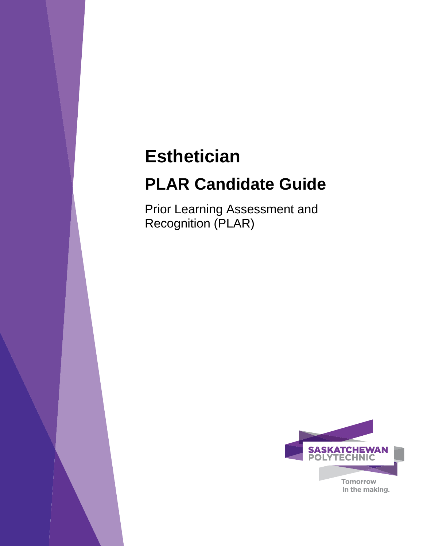# **Esthetician**

# **PLAR Candidate Guide**

Prior Learning Assessment and Recognition (PLAR)

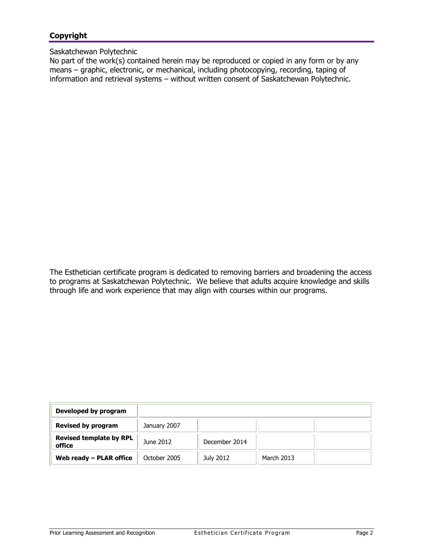# **Copyright**

#### Saskatchewan Polytechnic

No part of the work(s) contained herein may be reproduced or copied in any form or by any means – graphic, electronic, or mechanical, including photocopying, recording, taping of information and retrieval systems – without written consent of Saskatchewan Polytechnic.

The Esthetician certificate program is dedicated to removing barriers and broadening the access to programs at Saskatchewan Polytechnic. We believe that adults acquire knowledge and skills through life and work experience that may align with courses within our programs.

| Developed by program                     |              |               |            |  |
|------------------------------------------|--------------|---------------|------------|--|
| <b>Revised by program</b>                | January 2007 |               |            |  |
| <b>Revised template by RPL</b><br>office | June 2012    | December 2014 |            |  |
| Web ready $-$ PLAR office                | October 2005 | July 2012     | March 2013 |  |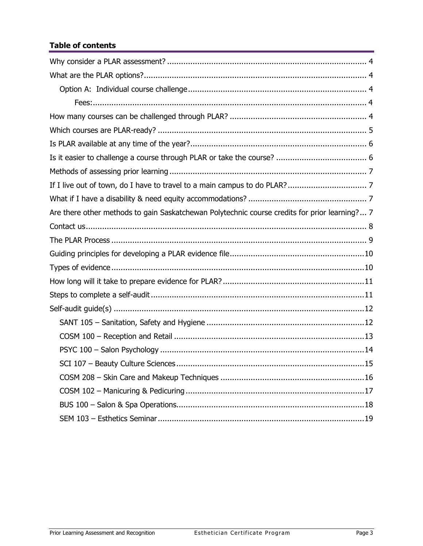# **Table of contents**

| Are there other methods to gain Saskatchewan Polytechnic course credits for prior learning? 7 |
|-----------------------------------------------------------------------------------------------|
|                                                                                               |
|                                                                                               |
|                                                                                               |
|                                                                                               |
|                                                                                               |
|                                                                                               |
|                                                                                               |
|                                                                                               |
|                                                                                               |
|                                                                                               |
| 15                                                                                            |
|                                                                                               |
|                                                                                               |
|                                                                                               |
|                                                                                               |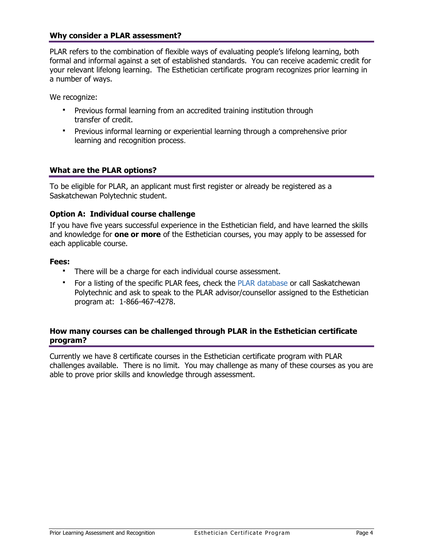## <span id="page-3-0"></span>**Why consider a PLAR assessment?**

PLAR refers to the combination of flexible ways of evaluating people's lifelong learning, both formal and informal against a set of established standards. You can receive academic credit for your relevant lifelong learning. The Esthetician certificate program recognizes prior learning in a number of ways.

We recognize:

- Previous formal learning from an accredited training institution through transfer of credit.
- <span id="page-3-1"></span> Previous informal learning or experiential learning through a comprehensive prior learning and recognition process.

## **What are the PLAR options?**

To be eligible for PLAR, an applicant must first register or already be registered as a Saskatchewan Polytechnic student.

## **Option A: Individual course challenge**

If you have five years successful experience in the Esthetician field, and have learned the skills and knowledge for **one or more** of the Esthetician courses, you may apply to be assessed for each applicable course.

#### **Fees:**

- <span id="page-3-3"></span><span id="page-3-2"></span>There will be a charge for each individual course assessment.
- For a listing of the specific PLAR fees, check the [PLAR database](https://webprod.siast.sk.ca:8000/ceroneprod/szpkplar.P_PLARInformation) or call Saskatchewan Polytechnic and ask to speak to the PLAR advisor/counsellor assigned to the Esthetician program at: 1-866-467-4278.

#### <span id="page-3-4"></span>**How many courses can be challenged through PLAR in the Esthetician certificate program?**

Currently we have 8 certificate courses in the Esthetician certificate program with PLAR challenges available. There is no limit. You may challenge as many of these courses as you are able to prove prior skills and knowledge through assessment.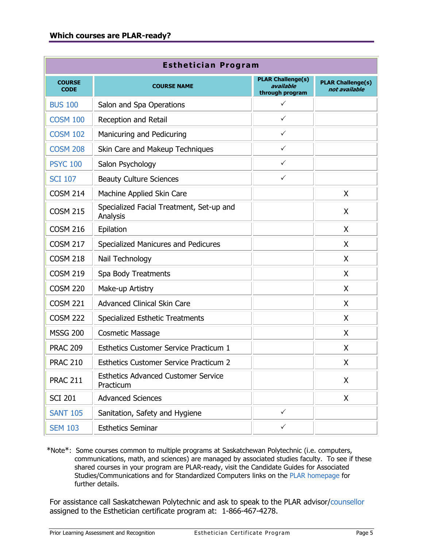<span id="page-4-0"></span>

| <b>Esthetician Program</b>   |                                                         |                                                          |                                           |  |  |  |  |  |
|------------------------------|---------------------------------------------------------|----------------------------------------------------------|-------------------------------------------|--|--|--|--|--|
| <b>COURSE</b><br><b>CODE</b> | <b>COURSE NAME</b>                                      | <b>PLAR Challenge(s)</b><br>available<br>through program | <b>PLAR Challenge(s)</b><br>not available |  |  |  |  |  |
| <b>BUS 100</b>               | Salon and Spa Operations                                | $\checkmark$                                             |                                           |  |  |  |  |  |
| <b>COSM 100</b>              | Reception and Retail                                    | $\checkmark$                                             |                                           |  |  |  |  |  |
| <b>COSM 102</b>              | Manicuring and Pedicuring                               | $\checkmark$                                             |                                           |  |  |  |  |  |
| <b>COSM 208</b>              | Skin Care and Makeup Techniques                         | $\checkmark$                                             |                                           |  |  |  |  |  |
| <b>PSYC 100</b>              | Salon Psychology                                        | $\checkmark$                                             |                                           |  |  |  |  |  |
| <b>SCI 107</b>               | <b>Beauty Culture Sciences</b>                          | $\checkmark$                                             |                                           |  |  |  |  |  |
| <b>COSM 214</b>              | Machine Applied Skin Care                               |                                                          | X                                         |  |  |  |  |  |
| <b>COSM 215</b>              | Specialized Facial Treatment, Set-up and<br>Analysis    |                                                          | X                                         |  |  |  |  |  |
| <b>COSM 216</b>              | Epilation                                               |                                                          | X                                         |  |  |  |  |  |
| <b>COSM 217</b>              | Specialized Manicures and Pedicures                     |                                                          | X                                         |  |  |  |  |  |
| <b>COSM 218</b>              | Nail Technology                                         |                                                          | X                                         |  |  |  |  |  |
| <b>COSM 219</b>              | Spa Body Treatments                                     |                                                          | X                                         |  |  |  |  |  |
| <b>COSM 220</b>              | Make-up Artistry                                        |                                                          | X                                         |  |  |  |  |  |
| <b>COSM 221</b>              | <b>Advanced Clinical Skin Care</b>                      |                                                          | X                                         |  |  |  |  |  |
| <b>COSM 222</b>              | <b>Specialized Esthetic Treatments</b>                  |                                                          | X                                         |  |  |  |  |  |
| <b>MSSG 200</b>              | Cosmetic Massage                                        |                                                          | X                                         |  |  |  |  |  |
| <b>PRAC 209</b>              | <b>Esthetics Customer Service Practicum 1</b>           |                                                          | X                                         |  |  |  |  |  |
| <b>PRAC 210</b>              | <b>Esthetics Customer Service Practicum 2</b>           |                                                          | X                                         |  |  |  |  |  |
| <b>PRAC 211</b>              | <b>Esthetics Advanced Customer Service</b><br>Practicum |                                                          | X                                         |  |  |  |  |  |
| <b>SCI 201</b>               | <b>Advanced Sciences</b>                                |                                                          | X                                         |  |  |  |  |  |
| <b>SANT 105</b>              | Sanitation, Safety and Hygiene                          | ✓                                                        |                                           |  |  |  |  |  |
| <b>SEM 103</b>               | <b>Esthetics Seminar</b>                                | $\checkmark$                                             |                                           |  |  |  |  |  |

\*Note\*: Some courses common to multiple programs at Saskatchewan Polytechnic (i.e. computers, communications, math, and sciences) are managed by associated studies faculty. To see if these shared courses in your program are PLAR-ready, visit the Candidate Guides for Associated Studies/Communications and for Standardized Computers links on the [PLAR homepage](http://gosiast.com/admissions/resources/prior-learning-and-recognition.aspx) for further details.

For assistance call Saskatchewan Polytechnic and ask to speak to the PLAR advisor[/counsellor](#page-7-1) assigned to the Esthetician certificate program at: 1-866-467-4278.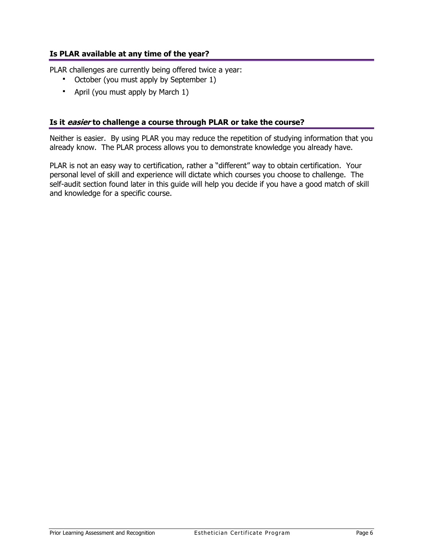## **Is PLAR available at any time of the year?**

PLAR challenges are currently being offered twice a year:

- <span id="page-5-0"></span>October (you must apply by September 1)
- <span id="page-5-1"></span>April (you must apply by March 1)

#### **Is it easier to challenge a course through PLAR or take the course?**

Neither is easier. By using PLAR you may reduce the repetition of studying information that you already know. The PLAR process allows you to demonstrate knowledge you already have.

PLAR is not an easy way to certification, rather a "different" way to obtain certification. Your personal level of skill and experience will dictate which courses you choose to challenge. The self-audit section found later in this guide will help you decide if you have a good match of skill and knowledge for a specific course.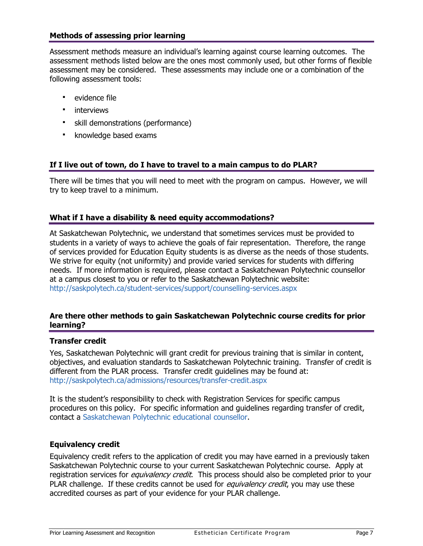## <span id="page-6-0"></span>**Methods of assessing prior learning**

Assessment methods measure an individual's learning against course learning outcomes. The assessment methods listed below are the ones most commonly used, but other forms of flexible assessment may be considered. These assessments may include one or a combination of the following assessment tools:

- evidence file
- **•** interviews
- skill demonstrations (performance)
- <span id="page-6-1"></span>**EXEC** knowledge based exams

## **If I live out of town, do I have to travel to a main campus to do PLAR?**

There will be times that you will need to meet with the program on campus. However, we will try to keep travel to a minimum.

## <span id="page-6-2"></span>**What if I have a disability & need equity accommodations?**

At Saskatchewan Polytechnic, we understand that sometimes services must be provided to students in a variety of ways to achieve the goals of fair representation. Therefore, the range of services provided for Education Equity students is as diverse as the needs of those students. We strive for equity (not uniformity) and provide varied services for students with differing needs. If more information is required, please contact a Saskatchewan Polytechnic counsellor at a campus closest to you or refer to the Saskatchewan Polytechnic website: <http://saskpolytech.ca/student-services/support/counselling-services.aspx>

## <span id="page-6-3"></span>**Are there other methods to gain Saskatchewan Polytechnic course credits for prior learning?**

#### **Transfer credit**

Yes, Saskatchewan Polytechnic will grant credit for previous training that is similar in content, objectives, and evaluation standards to Saskatchewan Polytechnic training. Transfer of credit is different from the PLAR process. Transfer credit guidelines may be found at: <http://saskpolytech.ca/admissions/resources/transfer-credit.aspx>

It is the student's responsibility to check with Registration Services for specific campus procedures on this policy. For specific information and guidelines regarding transfer of credit, contact a [Saskatchewan Polytechnic](http://saskpolytech.ca/student-services/support/counselling-services.aspx) educational counsellor.

#### **Equivalency credit**

Equivalency credit refers to the application of credit you may have earned in a previously taken Saskatchewan Polytechnic course to your current Saskatchewan Polytechnic course. Apply at registration services for *equivalency credit*. This process should also be completed prior to your PLAR challenge. If these credits cannot be used for *equivalency credit*, you may use these accredited courses as part of your evidence for your PLAR challenge.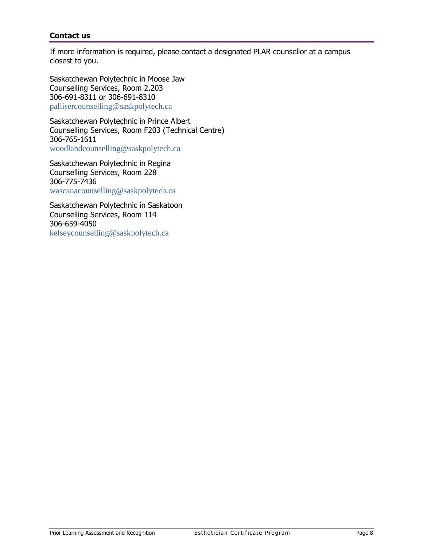## <span id="page-7-1"></span><span id="page-7-0"></span>**Contact us**

If more information is required, please contact a designated PLAR counsellor at a campus closest to you.

Saskatchewan Polytechnic in Moose Jaw Counselling Services, Room 2.203 306-691-8311 or 306-691-8310 [pallisercounselling@saskpolytech.ca](mailto:%20pallisercounselling@saskpolytech.ca)

Saskatchewan Polytechnic in Prince Albert Counselling Services, Room F203 (Technical Centre) 306-765-1611 [woodlandcounselling@saskpolytech.ca](mailto:%20woodlandcounselling@saskpolytech.ca)

Saskatchewan Polytechnic in Regina Counselling Services, Room 228 306-775-7436 [wascanacounselling@saskpolytech.ca](mailto:%20%20wascanacounselling@saskpolytech.ca)

Saskatchewan Polytechnic in Saskatoon Counselling Services, Room 114 306-659-4050 [kelseycounselling@saskpolytech.ca](mailto:%20kelseycounselling@saskpolytech.ca)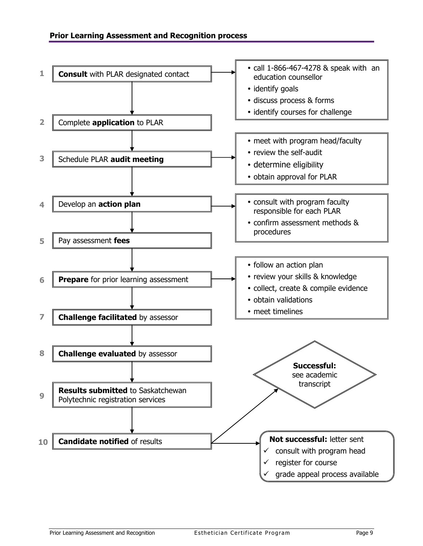<span id="page-8-2"></span><span id="page-8-1"></span><span id="page-8-0"></span>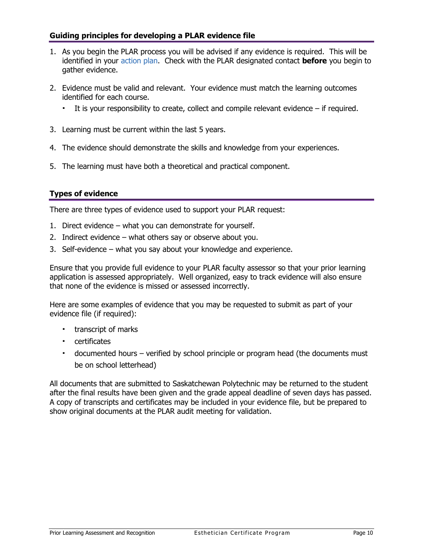## <span id="page-9-0"></span>**Guiding principles for developing a PLAR evidence file**

- 1. As you begin the PLAR process you will be advised if any evidence is required. This will be identified in your [action plan.](#page-8-1) Check with the PLAR designated contact **before** you begin to gather evidence.
- 2. Evidence must be valid and relevant. Your evidence must match the learning outcomes identified for each course.
	- It is your responsibility to create, collect and compile relevant evidence if required.
- 3. Learning must be current within the last 5 years.
- 4. The evidence should demonstrate the skills and knowledge from your experiences.
- 5. The learning must have both a theoretical and practical component.

## <span id="page-9-1"></span>**Types of evidence**

There are three types of evidence used to support your PLAR request:

- 1. Direct evidence what you can demonstrate for yourself.
- 2. Indirect evidence what others say or observe about you.
- 3. Self-evidence what you say about your knowledge and experience.

Ensure that you provide full evidence to your PLAR faculty assessor so that your prior learning application is assessed appropriately. Well organized, easy to track evidence will also ensure that none of the evidence is missed or assessed incorrectly.

Here are some examples of evidence that you may be requested to submit as part of your evidence file (if required):

- **transcript of marks**
- certificates
- documented hours verified by school principle or program head (the documents must be on school letterhead)

All documents that are submitted to Saskatchewan Polytechnic may be returned to the student after the final results have been given and the grade appeal deadline of seven days has passed. A copy of transcripts and certificates may be included in your evidence file, but be prepared to show original documents at the PLAR audit meeting for validation.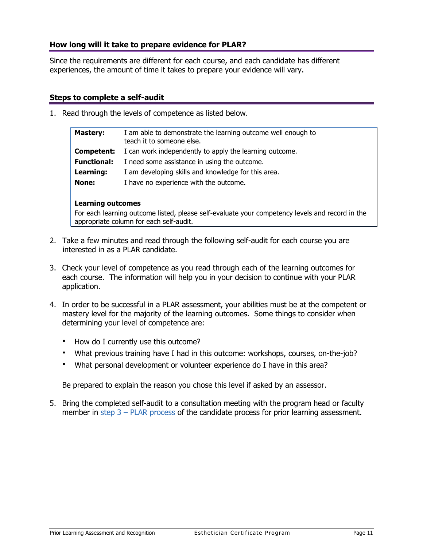## **How long will it take to prepare evidence for PLAR?**

Since the requirements are different for each course, and each candidate has different experiences, the amount of time it takes to prepare your evidence will vary.

#### **Steps to complete a self-audit**

1. Read through the levels of competence as listed below.

<span id="page-10-1"></span><span id="page-10-0"></span>

| <b>Mastery:</b>    | I am able to demonstrate the learning outcome well enough to<br>teach it to someone else. |
|--------------------|-------------------------------------------------------------------------------------------|
| Competent:         | I can work independently to apply the learning outcome.                                   |
| <b>Functional:</b> | I need some assistance in using the outcome.                                              |
| Learning:          | I am developing skills and knowledge for this area.                                       |
| None:              | I have no experience with the outcome.                                                    |
|                    |                                                                                           |

#### **Learning outcomes**

For each learning outcome listed, please self-evaluate your competency levels and record in the appropriate column for each self-audit.

- 2. Take a few minutes and read through the following self-audit for each course you are interested in as a PLAR candidate.
- 3. Check your level of competence as you read through each of the learning outcomes for each course. The information will help you in your decision to continue with your PLAR application.
- 4. In order to be successful in a PLAR assessment, your abilities must be at the competent or mastery level for the majority of the learning outcomes. Some things to consider when determining your level of competence are:
	- How do I currently use this outcome?
	- What previous training have I had in this outcome: workshops, courses, on-the-job?
	- What personal development or volunteer experience do I have in this area?

Be prepared to explain the reason you chose this level if asked by an assessor.

5. Bring the completed self-audit to a consultation meeting with the program head or faculty member in step  $3 - PLAR$  process of the candidate process for prior learning assessment.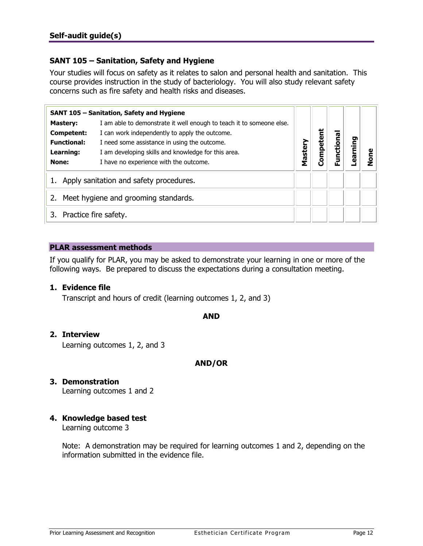## <span id="page-11-2"></span><span id="page-11-1"></span><span id="page-11-0"></span>**SANT 105 – Sanitation, Safety and Hygiene**

Your studies will focus on safety as it relates to salon and personal health and sanitation. This course provides instruction in the study of bacteriology. You will also study relevant safety concerns such as fire safety and health risks and diseases.

|                             | SANT 105 - Sanitation, Safety and Hygiene                            |         |        |        |      |   |
|-----------------------------|----------------------------------------------------------------------|---------|--------|--------|------|---|
| <b>Mastery:</b>             | I am able to demonstrate it well enough to teach it to someone else. |         |        |        |      |   |
| Competent:                  | I can work independently to apply the outcome.                       |         | ã      | ēq     |      |   |
| <b>Functional:</b>          | I need some assistance in using the outcome.                         |         |        |        | ping |   |
| Learning:                   | I am developing skills and knowledge for this area.                  | Mastery | Compet | unctio | ក្លិ |   |
| None:                       | I have no experience with the outcome.                               |         |        |        |      | ō |
|                             | Apply sanitation and safety procedures.                              |         |        |        |      |   |
| 2.                          | Meet hygiene and grooming standards.                                 |         |        |        |      |   |
| Practice fire safety.<br>3. |                                                                      |         |        |        |      |   |

## **PLAR assessment methods**

If you qualify for PLAR, you may be asked to demonstrate your learning in one or more of the following ways. Be prepared to discuss the expectations during a consultation meeting.

#### **1. Evidence file**

Transcript and hours of credit (learning outcomes 1, 2, and 3)

#### **AND**

#### **2. Interview**

Learning outcomes 1, 2, and 3

## **AND/OR**

## **3. Demonstration**

Learning outcomes 1 and 2

## **4. Knowledge based test**

Learning outcome 3

Note: A demonstration may be required for learning outcomes 1 and 2, depending on the information submitted in the evidence file.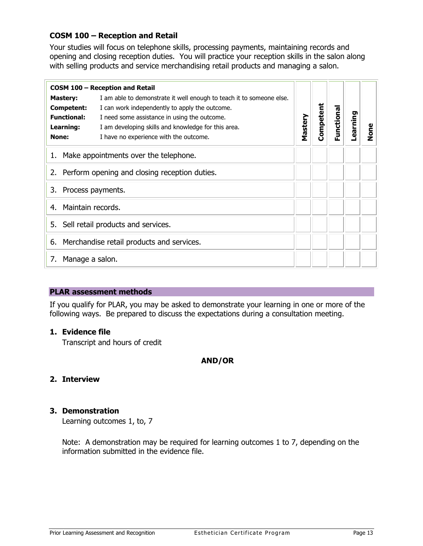# <span id="page-12-1"></span><span id="page-12-0"></span>**COSM 100 – Reception and Retail**

Your studies will focus on telephone skills, processing payments, maintaining records and opening and closing reception duties. You will practice your reception skills in the salon along with selling products and service merchandising retail products and managing a salon.

| COSM 100 - Reception and Retail |                                                                      |         |           |            |          |      |
|---------------------------------|----------------------------------------------------------------------|---------|-----------|------------|----------|------|
| <b>Mastery:</b>                 | I am able to demonstrate it well enough to teach it to someone else. |         |           |            |          |      |
| <b>Competent:</b>               | I can work independently to apply the outcome.                       |         | Competent | Functional |          |      |
| <b>Functional:</b>              | I need some assistance in using the outcome.                         | Mastery |           |            | earning- |      |
| Learning:                       | I am developing skills and knowledge for this area.                  |         |           |            |          | None |
| None:                           | I have no experience with the outcome.                               |         |           |            |          |      |
|                                 | 1. Make appointments over the telephone.                             |         |           |            |          |      |
|                                 | 2. Perform opening and closing reception duties.                     |         |           |            |          |      |
| Process payments.<br>3.         |                                                                      |         |           |            |          |      |
| Maintain records.<br>4.         |                                                                      |         |           |            |          |      |
| 5.                              | Sell retail products and services.                                   |         |           |            |          |      |
|                                 | 6. Merchandise retail products and services.                         |         |           |            |          |      |
| Manage a salon.<br>7.           |                                                                      |         |           |            |          |      |

#### **PLAR assessment methods**

If you qualify for PLAR, you may be asked to demonstrate your learning in one or more of the following ways. Be prepared to discuss the expectations during a consultation meeting.

#### **1. Evidence file**

Transcript and hours of credit

#### **AND/OR**

## **2. Interview**

## **3. Demonstration**

Learning outcomes 1, to, 7

Note: A demonstration may be required for learning outcomes 1 to 7, depending on the information submitted in the evidence file.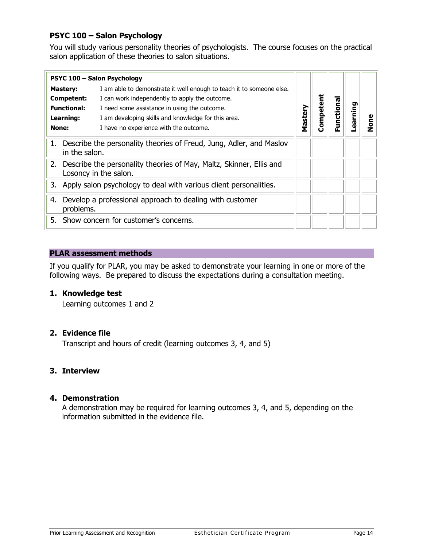## <span id="page-13-1"></span><span id="page-13-0"></span>**PSYC 100 – Salon Psychology**

You will study various personality theories of psychologists. The course focuses on the practical salon application of these theories to salon situations.

|                                                                                                 | PSYC 100 - Salon Psychology                                            |         |           |          |         |        |
|-------------------------------------------------------------------------------------------------|------------------------------------------------------------------------|---------|-----------|----------|---------|--------|
| <b>Mastery:</b>                                                                                 | I am able to demonstrate it well enough to teach it to someone else.   |         |           |          |         |        |
| Competent:                                                                                      | I can work independently to apply the outcome.                         |         |           |          |         |        |
| <b>Functional:</b>                                                                              | I need some assistance in using the outcome.                           |         | Competent | unctiona | earning |        |
| Learning:                                                                                       | I am developing skills and knowledge for this area.                    | Mastery |           |          |         |        |
| None:                                                                                           | I have no experience with the outcome.                                 |         |           | ட்       |         | č<br>2 |
| in the salon.                                                                                   | 1. Describe the personality theories of Freud, Jung, Adler, and Maslov |         |           |          |         |        |
| 2. Describe the personality theories of May, Maltz, Skinner, Ellis and<br>Losoncy in the salon. |                                                                        |         |           |          |         |        |
| 3. Apply salon psychology to deal with various client personalities.                            |                                                                        |         |           |          |         |        |
| 4.<br>problems.                                                                                 | Develop a professional approach to dealing with customer               |         |           |          |         |        |
|                                                                                                 | 5. Show concern for customer's concerns.                               |         |           |          |         |        |

#### **PLAR assessment methods**

If you qualify for PLAR, you may be asked to demonstrate your learning in one or more of the following ways. Be prepared to discuss the expectations during a consultation meeting.

## **1. Knowledge test**

Learning outcomes 1 and 2

#### **2. Evidence file**

Transcript and hours of credit (learning outcomes 3, 4, and 5)

#### **3. Interview**

## **4. Demonstration**

A demonstration may be required for learning outcomes 3, 4, and 5, depending on the information submitted in the evidence file.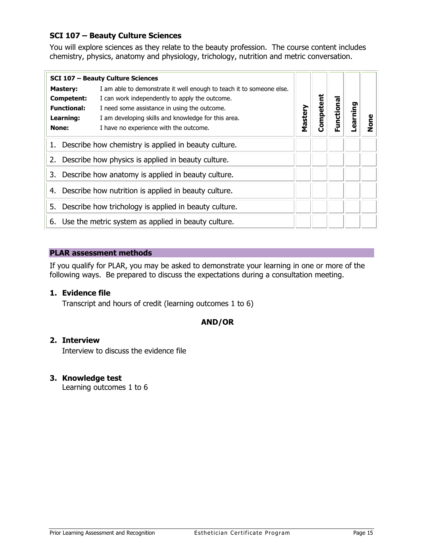## <span id="page-14-1"></span><span id="page-14-0"></span>**SCI 107 – Beauty Culture Sciences**

You will explore sciences as they relate to the beauty profession. The course content includes chemistry, physics, anatomy and physiology, trichology, nutrition and metric conversation.

|                                                            | <b>SCI 107 - Beauty Culture Sciences</b>                             |         |       |           |         |      |
|------------------------------------------------------------|----------------------------------------------------------------------|---------|-------|-----------|---------|------|
| <b>Mastery:</b>                                            | I am able to demonstrate it well enough to teach it to someone else. |         |       |           |         |      |
| Competent:                                                 | I can work independently to apply the outcome.                       |         | etent |           |         |      |
| <b>Functional:</b>                                         | I need some assistance in using the outcome.                         |         |       |           |         |      |
| Learning:                                                  | I am developing skills and knowledge for this area.                  | Mastery | Comp  | unctional | earning | lone |
| None:                                                      | I have no experience with the outcome.                               |         |       | ட்        |         |      |
| 1.                                                         | Describe how chemistry is applied in beauty culture.                 |         |       |           |         |      |
| 2.                                                         | Describe how physics is applied in beauty culture.                   |         |       |           |         |      |
| 3.                                                         | Describe how anatomy is applied in beauty culture.                   |         |       |           |         |      |
| Describe how nutrition is applied in beauty culture.<br>4. |                                                                      |         |       |           |         |      |
| 5.                                                         | Describe how trichology is applied in beauty culture.                |         |       |           |         |      |
|                                                            | 6. Use the metric system as applied in beauty culture.               |         |       |           |         |      |

## **PLAR assessment methods**

If you qualify for PLAR, you may be asked to demonstrate your learning in one or more of the following ways. Be prepared to discuss the expectations during a consultation meeting.

## **1. Evidence file**

Transcript and hours of credit (learning outcomes 1 to 6)

## **AND/OR**

#### **2. Interview**

Interview to discuss the evidence file

## **3. Knowledge test**

Learning outcomes 1 to 6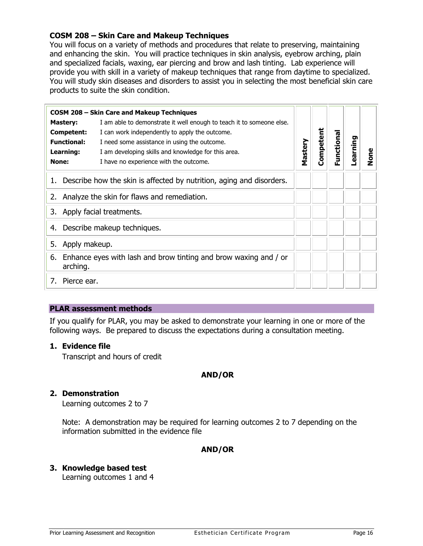## <span id="page-15-1"></span><span id="page-15-0"></span>**COSM 208 – Skin Care and Makeup Techniques**

You will focus on a variety of methods and procedures that relate to preserving, maintaining and enhancing the skin. You will practice techniques in skin analysis, eyebrow arching, plain and specialized facials, waxing, ear piercing and brow and lash tinting. Lab experience will provide you with skill in a variety of makeup techniques that range from daytime to specialized. You will study skin diseases and disorders to assist you in selecting the most beneficial skin care products to suite the skin condition.

|                                | <b>COSM 208 - Skin Care and Makeup Techniques</b>                       |         |           |           |          |      |
|--------------------------------|-------------------------------------------------------------------------|---------|-----------|-----------|----------|------|
| <b>Mastery:</b>                | I am able to demonstrate it well enough to teach it to someone else.    |         |           |           |          |      |
| Competent:                     | I can work independently to apply the outcome.                          |         | Competent |           |          |      |
| <b>Functional:</b>             | I need some assistance in using the outcome.                            |         |           | unctional | Learning |      |
| Learning:                      | I am developing skills and knowledge for this area.                     | Mastery |           |           |          | None |
| None:                          | I have no experience with the outcome.                                  |         |           | 正         |          |      |
|                                | 1. Describe how the skin is affected by nutrition, aging and disorders. |         |           |           |          |      |
|                                | 2. Analyze the skin for flaws and remediation.                          |         |           |           |          |      |
| Apply facial treatments.<br>3. |                                                                         |         |           |           |          |      |
| 4.                             | Describe makeup techniques.                                             |         |           |           |          |      |
| Apply makeup.<br>5.            |                                                                         |         |           |           |          |      |
| 6.<br>arching.                 | Enhance eyes with lash and brow tinting and brow waxing and / or        |         |           |           |          |      |
| Pierce ear.<br>7.              |                                                                         |         |           |           |          |      |

#### **PLAR assessment methods**

If you qualify for PLAR, you may be asked to demonstrate your learning in one or more of the following ways. Be prepared to discuss the expectations during a consultation meeting.

#### **1. Evidence file**

Transcript and hours of credit

#### **AND/OR**

#### **2. Demonstration**

Learning outcomes 2 to 7

Note: A demonstration may be required for learning outcomes 2 to 7 depending on the information submitted in the evidence file

#### **AND/OR**

#### **3. Knowledge based test**

Learning outcomes 1 and 4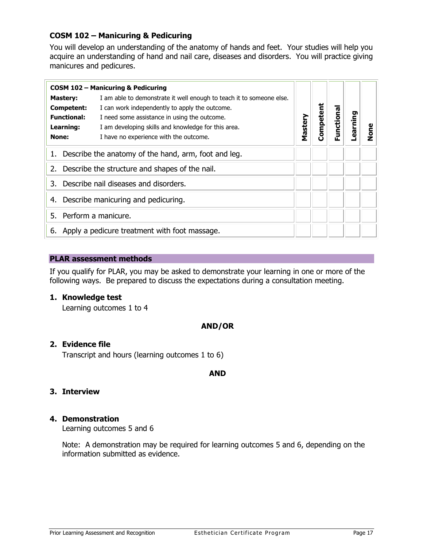## <span id="page-16-1"></span><span id="page-16-0"></span>**COSM 102 – Manicuring & Pedicuring**

You will develop an understanding of the anatomy of hands and feet. Your studies will help you acquire an understanding of hand and nail care, diseases and disorders. You will practice giving manicures and pedicures.

|                    | <b>COSM 102 - Manicuring &amp; Pedicuring</b>                        |         |           |           |         |             |
|--------------------|----------------------------------------------------------------------|---------|-----------|-----------|---------|-------------|
| <b>Mastery:</b>    | I am able to demonstrate it well enough to teach it to someone else. |         |           |           |         |             |
| Competent:         | I can work independently to apply the outcome.                       |         |           |           |         |             |
| <b>Functional:</b> | I need some assistance in using the outcome.                         |         | Competent | Functiona | earning |             |
| Learning:          | I am developing skills and knowledge for this area.                  | Mastery |           |           |         | <b>e</b> no |
| None:              | I have no experience with the outcome.                               |         |           |           |         |             |
|                    | 1. Describe the anatomy of the hand, arm, foot and leg.              |         |           |           |         |             |
|                    | 2. Describe the structure and shapes of the nail.                    |         |           |           |         |             |
| 3.                 | Describe nail diseases and disorders.                                |         |           |           |         |             |
| 4.                 | Describe manicuring and pedicuring.                                  |         |           |           |         |             |
| 5.                 | Perform a manicure.                                                  |         |           |           |         |             |
| 6.                 | Apply a pedicure treatment with foot massage.                        |         |           |           |         |             |

#### **PLAR assessment methods**

If you qualify for PLAR, you may be asked to demonstrate your learning in one or more of the following ways. Be prepared to discuss the expectations during a consultation meeting.

## **1. Knowledge test**

Learning outcomes 1 to 4

#### **AND/OR**

#### **2. Evidence file**

Transcript and hours (learning outcomes 1 to 6)

#### **AND**

#### **3. Interview**

#### **4. Demonstration**

Learning outcomes 5 and 6

Note: A demonstration may be required for learning outcomes 5 and 6, depending on the information submitted as evidence.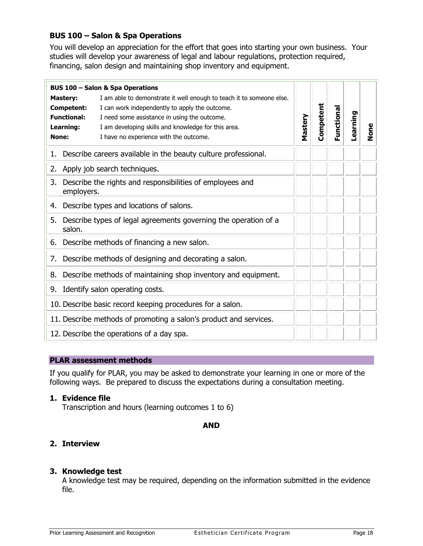## <span id="page-17-1"></span><span id="page-17-0"></span>**BUS 100 – Salon & Spa Operations**

You will develop an appreciation for the effort that goes into starting your own business. Your studies will develop your awareness of legal and labour regulations, protection required, financing, salon design and maintaining shop inventory and equipment.

|       | <b>BUS 100 - Salon &amp; Spa Operations</b>                                                                                                                                                                                                                                                                                                        |         |           |            |          |      |
|-------|----------------------------------------------------------------------------------------------------------------------------------------------------------------------------------------------------------------------------------------------------------------------------------------------------------------------------------------------------|---------|-----------|------------|----------|------|
| None: | I am able to demonstrate it well enough to teach it to someone else.<br><b>Mastery:</b><br>I can work independently to apply the outcome.<br><b>Competent:</b><br><b>Functional:</b><br>I need some assistance in using the outcome.<br>Learning:<br>I am developing skills and knowledge for this area.<br>I have no experience with the outcome. | Mastery | Competent | Functional | Learning | None |
|       | 1. Describe careers available in the beauty culture professional.                                                                                                                                                                                                                                                                                  |         |           |            |          |      |
|       | 2. Apply job search techniques.                                                                                                                                                                                                                                                                                                                    |         |           |            |          |      |
| 3.    | Describe the rights and responsibilities of employees and<br>employers.                                                                                                                                                                                                                                                                            |         |           |            |          |      |
| 4.    | Describe types and locations of salons.                                                                                                                                                                                                                                                                                                            |         |           |            |          |      |
|       | 5. Describe types of legal agreements governing the operation of a<br>salon.                                                                                                                                                                                                                                                                       |         |           |            |          |      |
|       | 6. Describe methods of financing a new salon.                                                                                                                                                                                                                                                                                                      |         |           |            |          |      |
| 7.    | Describe methods of designing and decorating a salon.                                                                                                                                                                                                                                                                                              |         |           |            |          |      |
|       | 8. Describe methods of maintaining shop inventory and equipment.                                                                                                                                                                                                                                                                                   |         |           |            |          |      |
| 9.    | Identify salon operating costs.                                                                                                                                                                                                                                                                                                                    |         |           |            |          |      |
|       | 10. Describe basic record keeping procedures for a salon.                                                                                                                                                                                                                                                                                          |         |           |            |          |      |
|       | 11. Describe methods of promoting a salon's product and services.                                                                                                                                                                                                                                                                                  |         |           |            |          |      |
|       | 12. Describe the operations of a day spa.                                                                                                                                                                                                                                                                                                          |         |           |            |          |      |

## **PLAR assessment methods**

If you qualify for PLAR, you may be asked to demonstrate your learning in one or more of the following ways. Be prepared to discuss the expectations during a consultation meeting.

## **1. Evidence file**

Transcription and hours (learning outcomes 1 to 6)

**AND**

# **2. Interview**

## **3. Knowledge test**

A knowledge test may be required, depending on the information submitted in the evidence file.